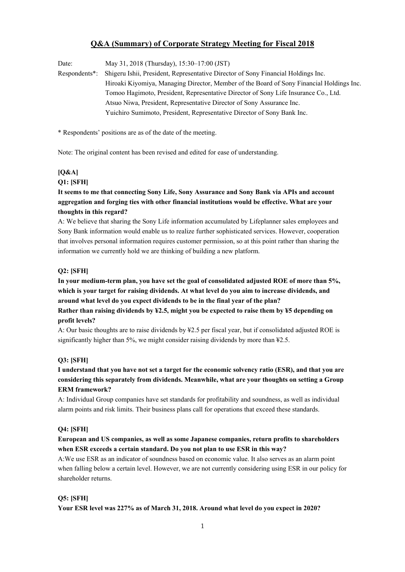# **Q&A (Summary) of Corporate Strategy Meeting for Fiscal 2018**

Date: May 31, 2018 (Thursday), 15:30–17:00 (JST)

Respondents\*: Shigeru Ishii, President, Representative Director of Sony Financial Holdings Inc. Hiroaki Kiyomiya, Managing Director, Member of the Board of Sony Financial Holdings Inc. Tomoo Hagimoto, President, Representative Director of Sony Life Insurance Co., Ltd. Atsuo Niwa, President, Representative Director of Sony Assurance Inc. Yuichiro Sumimoto, President, Representative Director of Sony Bank Inc.

\* Respondents' positions are as of the date of the meeting.

Note: The original content has been revised and edited for ease of understanding.

# **[Q&A]**

## **Q1: [SFH]**

# **It seems to me that connecting Sony Life, Sony Assurance and Sony Bank via APIs and account aggregation and forging ties with other financial institutions would be effective. What are your thoughts in this regard?**

A: We believe that sharing the Sony Life information accumulated by Lifeplanner sales employees and Sony Bank information would enable us to realize further sophisticated services. However, cooperation that involves personal information requires customer permission, so at this point rather than sharing the information we currently hold we are thinking of building a new platform.

## **Q2: [SFH]**

**In your medium-term plan, you have set the goal of consolidated adjusted ROE of more than 5%, which is your target for raising dividends. At what level do you aim to increase dividends, and around what level do you expect dividends to be in the final year of the plan? Rather than raising dividends by ¥2.5, might you be expected to raise them by ¥5 depending on profit levels?** 

A: Our basic thoughts are to raise dividends by ¥2.5 per fiscal year, but if consolidated adjusted ROE is significantly higher than 5%, we might consider raising dividends by more than ¥2.5.

## **Q3: [SFH]**

# **I understand that you have not set a target for the economic solvency ratio (ESR), and that you are considering this separately from dividends. Meanwhile, what are your thoughts on setting a Group ERM framework?**

A: Individual Group companies have set standards for profitability and soundness, as well as individual alarm points and risk limits. Their business plans call for operations that exceed these standards.

## **Q4: [SFH]**

## **European and US companies, as well as some Japanese companies, return profits to shareholders when ESR exceeds a certain standard. Do you not plan to use ESR in this way?**

A:We use ESR as an indicator of soundness based on economic value. It also serves as an alarm point when falling below a certain level. However, we are not currently considering using ESR in our policy for shareholder returns.

## **Q5: [SFH]**

## **Your ESR level was 227% as of March 31, 2018. Around what level do you expect in 2020?**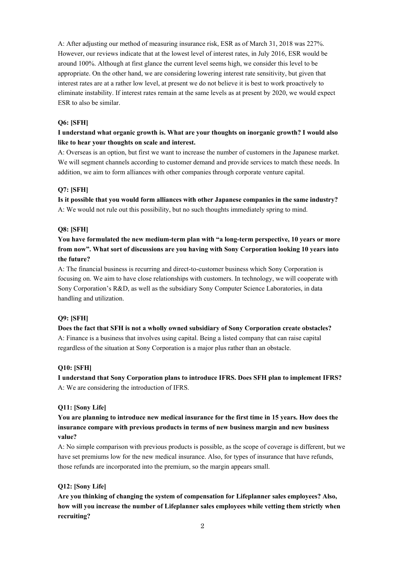A: After adjusting our method of measuring insurance risk, ESR as of March 31, 2018 was 227%. However, our reviews indicate that at the lowest level of interest rates, in July 2016, ESR would be around 100%. Although at first glance the current level seems high, we consider this level to be appropriate. On the other hand, we are considering lowering interest rate sensitivity, but given that interest rates are at a rather low level, at present we do not believe it is best to work proactively to eliminate instability. If interest rates remain at the same levels as at present by 2020, we would expect ESR to also be similar.

### **Q6: [SFH]**

## **I understand what organic growth is. What are your thoughts on inorganic growth? I would also like to hear your thoughts on scale and interest.**

A: Overseas is an option, but first we want to increase the number of customers in the Japanese market. We will segment channels according to customer demand and provide services to match these needs. In addition, we aim to form alliances with other companies through corporate venture capital.

### **Q7: [SFH]**

**Is it possible that you would form alliances with other Japanese companies in the same industry?**  A: We would not rule out this possibility, but no such thoughts immediately spring to mind.

#### **Q8: [SFH]**

# **You have formulated the new medium-term plan with "a long-term perspective, 10 years or more from now". What sort of discussions are you having with Sony Corporation looking 10 years into the future?**

A: The financial business is recurring and direct-to-customer business which Sony Corporation is focusing on. We aim to have close relationships with customers. In technology, we will cooperate with Sony Corporation's R&D, as well as the subsidiary Sony Computer Science Laboratories, in data handling and utilization.

### **Q9: [SFH]**

**Does the fact that SFH is not a wholly owned subsidiary of Sony Corporation create obstacles?**  A: Finance is a business that involves using capital. Being a listed company that can raise capital regardless of the situation at Sony Corporation is a major plus rather than an obstacle.

### **Q10: [SFH]**

**I understand that Sony Corporation plans to introduce IFRS. Does SFH plan to implement IFRS?**  A: We are considering the introduction of IFRS.

### **Q11: [Sony Life]**

**You are planning to introduce new medical insurance for the first time in 15 years. How does the insurance compare with previous products in terms of new business margin and new business value?** 

A: No simple comparison with previous products is possible, as the scope of coverage is different, but we have set premiums low for the new medical insurance. Also, for types of insurance that have refunds, those refunds are incorporated into the premium, so the margin appears small.

### **Q12: [Sony Life]**

**Are you thinking of changing the system of compensation for Lifeplanner sales employees? Also, how will you increase the number of Lifeplanner sales employees while vetting them strictly when recruiting?**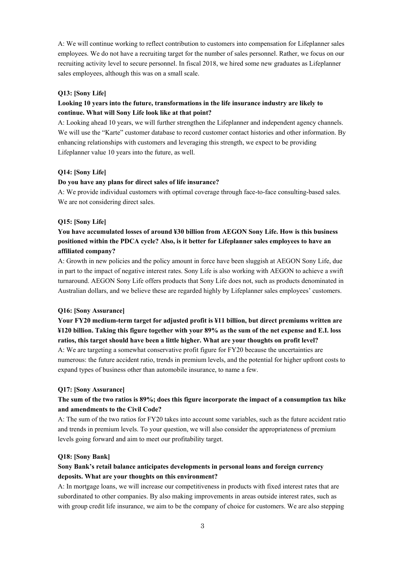A: We will continue working to reflect contribution to customers into compensation for Lifeplanner sales employees. We do not have a recruiting target for the number of sales personnel. Rather, we focus on our recruiting activity level to secure personnel. In fiscal 2018, we hired some new graduates as Lifeplanner sales employees, although this was on a small scale.

#### **Q13: [Sony Life]**

## **Looking 10 years into the future, transformations in the life insurance industry are likely to continue. What will Sony Life look like at that point?**

A: Looking ahead 10 years, we will further strengthen the Lifeplanner and independent agency channels. We will use the "Karte" customer database to record customer contact histories and other information. By enhancing relationships with customers and leveraging this strength, we expect to be providing Lifeplanner value 10 years into the future, as well.

#### **Q14: [Sony Life]**

#### **Do you have any plans for direct sales of life insurance?**

A: We provide individual customers with optimal coverage through face-to-face consulting-based sales. We are not considering direct sales.

### **Q15: [Sony Life]**

# **You have accumulated losses of around ¥30 billion from AEGON Sony Life. How is this business positioned within the PDCA cycle? Also, is it better for Lifeplanner sales employees to have an affiliated company?**

A: Growth in new policies and the policy amount in force have been sluggish at AEGON Sony Life, due in part to the impact of negative interest rates. Sony Life is also working with AEGON to achieve a swift turnaround. AEGON Sony Life offers products that Sony Life does not, such as products denominated in Australian dollars, and we believe these are regarded highly by Lifeplanner sales employees' customers.

#### **Q16: [Sony Assurance]**

**Your FY20 medium-term target for adjusted profit is ¥11 billion, but direct premiums written are ¥120 billion. Taking this figure together with your 89% as the sum of the net expense and E.I. loss ratios, this target should have been a little higher. What are your thoughts on profit level?** 

A: We are targeting a somewhat conservative profit figure for FY20 because the uncertainties are numerous: the future accident ratio, trends in premium levels, and the potential for higher upfront costs to expand types of business other than automobile insurance, to name a few.

#### **Q17: [Sony Assurance]**

## **The sum of the two ratios is 89%; does this figure incorporate the impact of a consumption tax hike and amendments to the Civil Code?**

A: The sum of the two ratios for FY20 takes into account some variables, such as the future accident ratio and trends in premium levels. To your question, we will also consider the appropriateness of premium levels going forward and aim to meet our profitability target.

#### **Q18: [Sony Bank]**

## **Sony Bank's retail balance anticipates developments in personal loans and foreign currency deposits. What are your thoughts on this environment?**

A: In mortgage loans, we will increase our competitiveness in products with fixed interest rates that are subordinated to other companies. By also making improvements in areas outside interest rates, such as with group credit life insurance, we aim to be the company of choice for customers. We are also stepping